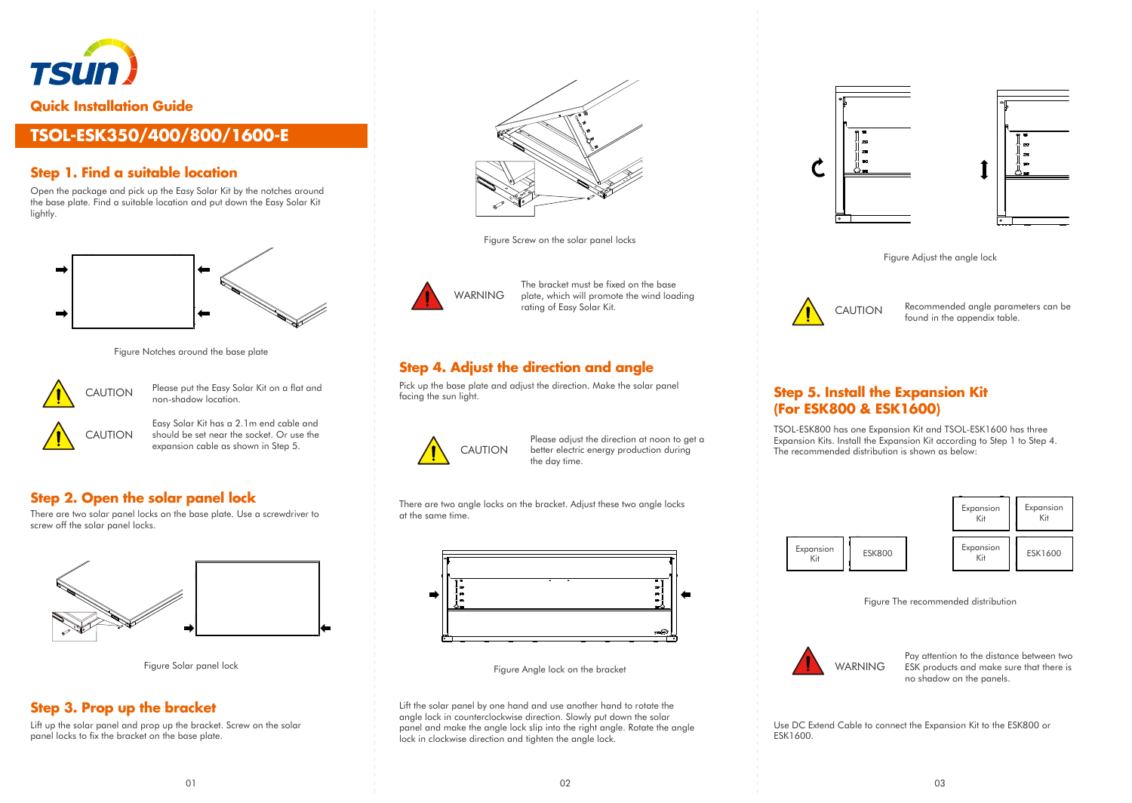

# **TSOL-ESK350/400/800/1600-E**

# **Step 1. Find a suitable location**

Open the package and pick up the Easy Solar Kit by the notches around the base plate. Find a suitable location and put down the Easy Solar Kit lightly.







Please put the Easy Solar Kit on a flat and non-shadow location.



Easy Solar Kit has a 2.1m end cable and should be set near the socket. Or use the expansion cable as shown in Step 5.

#### **Step 2. Open the solar panel lock**

There are two solar panel locks on the base plate. Use a screwdriver to screw off the solar panel locks.





# **Step 3. Prop up the bracket**

Lift up the solar panel and prop up the bracket. Screw on the solar panel locks to fix the bracket on the base plate.



Figure Screw on the solar panel locks



The bracket must be fixed on the base plate, which will promote the wind loading rating of Easy Solar Kit.

# **Step 4. Adjust the direction and angle**

Pick up the base plate and adjust the direction. Make the solar panel facing the sun light.



Please adjust the direction at noon to get a better electric energy production during the day time.

There are two angle locks on the bracket. Adjust these two angle locks at the same time.



Figure Solar panel lock Figure Angle lock on the bracket

Lift the solar panel by one hand and use another hand to rotate the angle lock in counterclockwise direction. Slowly put down the solar panel and make the angle lock slip into the right angle. Rotate the angle lock in clockwise direction and tighten the angle lock.



Figure Adjust the angle lock



CAUTION Recommended angle parameters can be found in the appendix table.

## **Step 5. Install the Expansion Kit (For ESK800 & ESK1600)**

TSOL-ESK800 has one Expansion Kit and TSOL-ESK1600 has three Expansion Kits. Install the Expansion Kit according to Step 1 to Step 4. The recommended distribution is shown as below:



Figure The recommended distribution



Pay attention to the distance between two ESK products and make sure that there is no shadow on the panels.

Use DC Extend Cable to connect the Expansion Kit to the ESK800 or ESK1600.